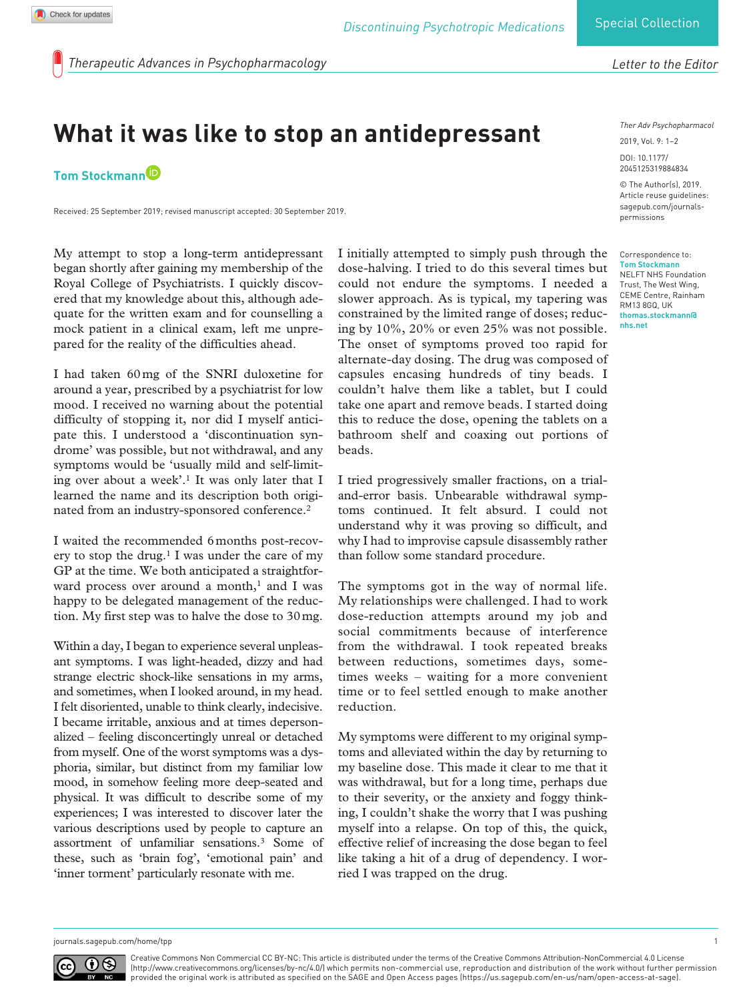# **What it was like to stop an antidepressant**

**Tom Stockmann**

Received: 25 September 2019; revised manuscript accepted: 30 September 2019.

*Therapeutic Advances in Psychopharmacology*

My attempt to stop a long-term antidepressant began shortly after gaining my membership of the Royal College of Psychiatrists. I quickly discovered that my knowledge about this, although adequate for the written exam and for counselling a mock patient in a clinical exam, left me unprepared for the reality of the difficulties ahead.

I had taken 60mg of the SNRI duloxetine for around a year, prescribed by a psychiatrist for low mood. I received no warning about the potential difficulty of stopping it, nor did I myself anticipate this. I understood a 'discontinuation syndrome' was possible, but not withdrawal, and any symptoms would be 'usually mild and self-limiting over about a week'.1 It was only later that I learned the name and its description both originated from an industry-sponsored conference.2

I waited the recommended 6months post-recovery to stop the drug.<sup>1</sup> I was under the care of my GP at the time. We both anticipated a straightforward process over around a month, $<sup>1</sup>$  and I was</sup> happy to be delegated management of the reduction. My first step was to halve the dose to 30mg.

Within a day, I began to experience several unpleasant symptoms. I was light-headed, dizzy and had strange electric shock-like sensations in my arms, and sometimes, when I looked around, in my head. I felt disoriented, unable to think clearly, indecisive. I became irritable, anxious and at times depersonalized – feeling disconcertingly unreal or detached from myself. One of the worst symptoms was a dysphoria, similar, but distinct from my familiar low mood, in somehow feeling more deep-seated and physical. It was difficult to describe some of my experiences; I was interested to discover later the various descriptions used by people to capture an assortment of unfamiliar sensations.3 Some of these, such as 'brain fog', 'emotional pain' and 'inner torment' particularly resonate with me.

I initially attempted to simply push through the dose-halving. I tried to do this several times but could not endure the symptoms. I needed a slower approach. As is typical, my tapering was constrained by the limited range of doses; reducing by 10%, 20% or even 25% was not possible. The onset of symptoms proved too rapid for alternate-day dosing. The drug was composed of capsules encasing hundreds of tiny beads. I couldn't halve them like a tablet, but I could take one apart and remove beads. I started doing this to reduce the dose, opening the tablets on a bathroom shelf and coaxing out portions of beads.

I tried progressively smaller fractions, on a trialand-error basis. Unbearable withdrawal symptoms continued. It felt absurd. I could not understand why it was proving so difficult, and why I had to improvise capsule disassembly rather than follow some standard procedure.

The symptoms got in the way of normal life. My relationships were challenged. I had to work dose-reduction attempts around my job and social commitments because of interference from the withdrawal. I took repeated breaks between reductions, sometimes days, sometimes weeks – waiting for a more convenient time or to feel settled enough to make another reduction.

My symptoms were different to my original symptoms and alleviated within the day by returning to my baseline dose. This made it clear to me that it was withdrawal, but for a long time, perhaps due to their severity, or the anxiety and foggy thinking, I couldn't shake the worry that I was pushing myself into a relapse. On top of this, the quick, effective relief of increasing the dose began to feel like taking a hit of a drug of dependency. I worried I was trapped on the drug.

*Ther Adv Psychopharmacol*

*Letter to the Editor*

DOI: 10.1177/ 2045125319884834 2019, Vol. 9: 1–2

© The Author(s), 2019. Article reuse guidelines: [sagepub.com/journals](https://uk.sagepub.com/en-gb/journals-permissions)[permissions](https://uk.sagepub.com/en-gb/journals-permissions)

Correspondence to: **Tom Stockmann** NELFT NHS Foundation Trust, The West Wing, CEME Centre, Rainham RM13 8GQ, UK **[thomas.stockmann@](mailto:thomas.stockmann@nhs.net) [nhs.net](mailto:thomas.stockmann@nhs.net)**